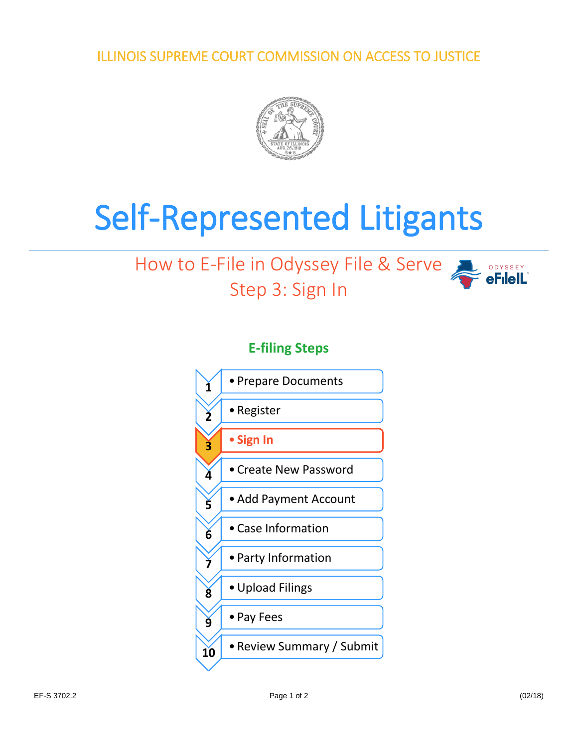ILLINOIS SUPREME COURT COMMISSION ON ACCESS TO JUSTICE



## Self-Represented Litigants

## How to E-File in Odyssey File & Serve Step 3: Sign In